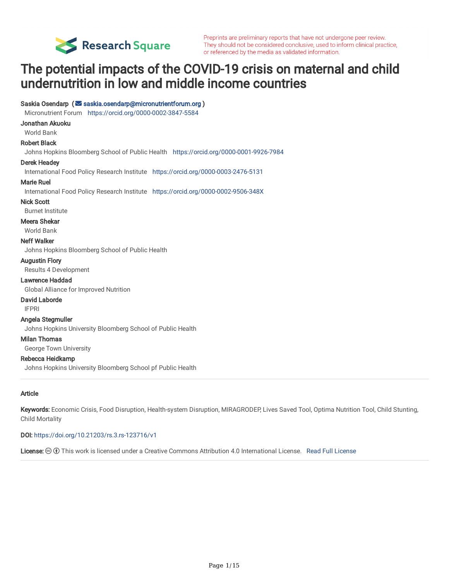

# The potential impacts of the COVID-19 crisis on maternal and child undernutrition in low and middle income countries

### Saskia Osendarp ( [saskia.osendarp@micronutrientforum.org](mailto:saskia.osendarp@micronutrientforum.org) )

Micronutrient Forum <https://orcid.org/0000-0002-3847-5584>

#### Jonathan Akuoku

## World Bank

#### Robert Black

Johns Hopkins Bloomberg School of Public Health <https://orcid.org/0000-0001-9926-7984>

#### Derek Headey

International Food Policy Research Institute <https://orcid.org/0000-0003-2476-5131>

#### Marie Ruel

International Food Policy Research Institute <https://orcid.org/0000-0002-9506-348X>

#### Nick Scott

Burnet Institute

#### Meera Shekar

World Bank

#### Neff Walker

Johns Hopkins Bloomberg School of Public Health

#### Augustin Flory

Results 4 Development

#### Lawrence Haddad

Global Alliance for Improved Nutrition

#### David Laborde

IFPRI

#### Angela Stegmuller

Johns Hopkins University Bloomberg School of Public Health

#### Milan Thomas

George Town University

#### Rebecca Heidkamp

Johns Hopkins University Bloomberg School pf Public Health

#### Article

Keywords: Economic Crisis, Food Disruption, Health-system Disruption, MIRAGRODEP, Lives Saved Tool, Optima Nutrition Tool, Child Stunting, Child Mortality

#### DOI: <https://doi.org/10.21203/rs.3.rs-123716/v1>

[License](https://creativecommons.org/licenses/by/4.0/):  $\odot$   $\odot$  This work is licensed under a Creative Commons Attribution 4.0 International License. Read Full License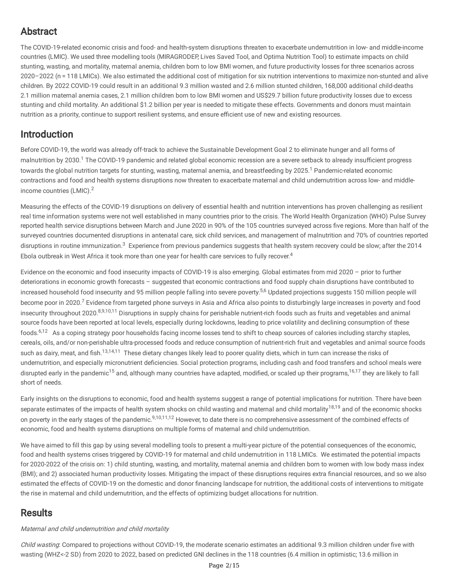## Abstract

The COVID-19-related economic crisis and food- and health-system disruptions threaten to exacerbate undernutrition in low- and middle-income countries (LMIC). We used three modelling tools (MIRAGRODEP, Lives Saved Tool, and Optima Nutrition Tool) to estimate impacts on child stunting, wasting, and mortality, maternal anemia, children born to low BMI women, and future productivity losses for three scenarios across 2020–2022 (n = 118 LMICs). We also estimated the additional cost of mitigation for six nutrition interventions to maximize non-stunted and alive children. By 2022 COVID-19 could result in an additional 9.3 million wasted and 2.6 million stunted children, 168,000 additional child-deaths 2.1 million maternal anemia cases, 2.1 million children born to low BMI women and US\$29.7 billion future productivity losses due to excess stunting and child mortality. An additional \$1.2 billion per year is needed to mitigate these effects. Governments and donors must maintain nutrition as a priority, continue to support resilient systems, and ensure efficient use of new and existing resources.

## Introduction

Before COVID-19, the world was already off-track to achieve the Sustainable Development Goal 2 to eliminate hunger and all forms of malnutrition by 2030.<sup>1</sup> The COVID-19 pandemic and related global economic recession are a severe setback to already insufficient progress towards the global nutrition targets for stunting, wasting, maternal anemia, and breastfeeding by 2025.<sup>1</sup> Pandemic-related economic contractions and food and health systems disruptions now threaten to exacerbate maternal and child undernutrition across low- and middleincome countries (LMIC).<sup>2</sup>

Measuring the effects of the COVID-19 disruptions on delivery of essential health and nutrition interventions has proven challenging as resilient real time information systems were not well established in many countries prior to the crisis. The World Health Organization (WHO) Pulse Survey reported health service disruptions between March and June 2020 in 90% of the 105 countries surveyed across five regions. More than half of the surveyed countries documented disruptions in antenatal care, sick child services, and management of malnutrition and 70% of countries reported disruptions in routine immunization.<sup>3</sup> Experience from previous pandemics suggests that health system recovery could be slow; after the 2014 Ebola outbreak in West Africa it took more than one year for health care services to fully recover.<sup>4</sup>

Evidence on the economic and food insecurity impacts of COVID-19 is also emerging. Global estimates from mid 2020 – prior to further deteriorations in economic growth forecasts – suggested that economic contractions and food supply chain disruptions have contributed to increased household food insecurity and 95 million people falling into severe poverty.<sup>5,6</sup> Updated projections suggests 150 million people will become poor in 2020.<sup>7</sup> Evidence from targeted phone surveys in Asia and Africa also points to disturbingly large increases in poverty and food insecurity throughout 2020.<sup>8,9,10,11</sup> Disruptions in supply chains for perishable nutrient-rich foods such as fruits and vegetables and animal source foods have been reported at local levels, especially during lockdowns, leading to price volatility and declining consumption of these foods.<sup>6,12</sup> As a coping strategy poor households facing income losses tend to shift to cheap sources of calories including starchy staples, cereals, oils, and/or non-perishable ultra-processed foods and reduce consumption of nutrient-rich fruit and vegetables and animal source foods such as dairy, meat, and fish.<sup>13,14,11</sup> These dietary changes likely lead to poorer quality diets, which in turn can increase the risks of undernutrition, and especially micronutrient deficiencies. Social protection programs, including cash and food transfers and school meals were disrupted early in the pandemic<sup>15</sup> and, although many countries have adapted, modified, or scaled up their programs,<sup>16,17</sup> they are likely to fall short of needs.

Early insights on the disruptions to economic, food and health systems suggest a range of potential implications for nutrition. There have been separate estimates of the impacts of health system shocks on child wasting and maternal and child mortality<sup>18,19</sup> and of the economic shocks on poverty in the early stages of the pandemic.<sup>9,10,11,12</sup> However, to date there is no comprehensive assessment of the combined effects of economic, food and health systems disruptions on multiple forms of maternal and child undernutrition.

We have aimed to fill this gap by using several modelling tools to present a multi-year picture of the potential consequences of the economic, food and health systems crises triggered by COVID-19 for maternal and child undernutrition in 118 LMICs. We estimated the potential impacts for 2020-2022 of the crisis on: 1) child stunting, wasting, and mortality, maternal anemia and children born to women with low body mass index (BMI); and 2) associated human productivity losses. Mitigating the impact of these disruptions requires extra financial resources, and so we also estimated the effects of COVID-19 on the domestic and donor financing landscape for nutrition, the additional costs of interventions to mitigate the rise in maternal and child undernutrition, and the effects of optimizing budget allocations for nutrition.

## **Results**

## Maternal and child undernutrition and child mortality

Child wasting. Compared to projections without COVID-19, the moderate scenario estimates an additional 9.3 million children under five with wasting (WHZ<-2 SD) from 2020 to 2022, based on predicted GNI declines in the 118 countries (6.4 million in optimistic; 13.6 million in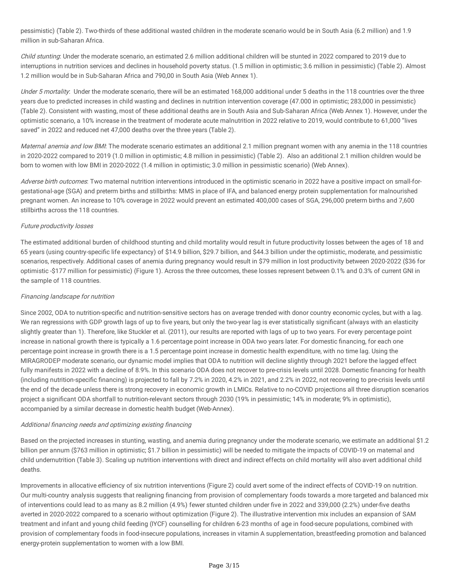pessimistic) (Table 2). Two-thirds of these additional wasted children in the moderate scenario would be in South Asia (6.2 million) and 1.9 million in sub-Saharan Africa.

Child stunting: Under the moderate scenario, an estimated 2.6 million additional children will be stunted in 2022 compared to 2019 due to interruptions in nutrition services and declines in household poverty status. (1.5 million in optimistic; 3.6 million in pessimistic) (Table 2). Almost 1.2 million would be in Sub-Saharan Africa and 790,00 in South Asia (Web Annex 1).

Under 5 mortality: Under the moderate scenario, there will be an estimated 168,000 additional under 5 deaths in the 118 countries over the three years due to predicted increases in child wasting and declines in nutrition intervention coverage (47.000 in optimistic; 283,000 in pessimistic) (Table 2). Consistent with wasting, most of these additional deaths are in South Asia and Sub-Saharan Africa (Web Annex 1). However, under the optimistic scenario, a 10% increase in the treatment of moderate acute malnutrition in 2022 relative to 2019, would contribute to 61,000 "lives saved" in 2022 and reduced net 47,000 deaths over the three years (Table 2).

Maternal anemia and low BMI: The moderate scenario estimates an additional 2.1 million pregnant women with any anemia in the 118 countries in 2020-2022 compared to 2019 (1.0 million in optimistic; 4.8 million in pessimistic) (Table 2). Also an additional 2.1 million children would be born to women with low BMI in 2020-2022 (1.4 million in optimistic; 3.0 million in pessimistic scenario) (Web Annex).

Adverse birth outcomes: Two maternal nutrition interventions introduced in the optimistic scenario in 2022 have a positive impact on small-forgestational-age (SGA) and preterm births and stillbirths: MMS in place of IFA, and balanced energy protein supplementation for malnourished pregnant women. An increase to 10% coverage in 2022 would prevent an estimated 400,000 cases of SGA, 296,000 preterm births and 7,600 stillbirths across the 118 countries.

### Future productivity losses

The estimated additional burden of childhood stunting and child mortality would result in future productivity losses between the ages of 18 and 65 years (using country-specific life expectancy) of \$14.9 billion, \$29.7 billion, and \$44.3 billion under the optimistic, moderate, and pessimistic scenarios, respectively. Additional cases of anemia during pregnancy would result in \$79 million in lost productivity between 2020-2022 (\$36 for optimistic -\$177 million for pessimistic) (Figure 1). Across the three outcomes, these losses represent between 0.1% and 0.3% of current GNI in the sample of 118 countries.

### Financing landscape for nutrition

Since 2002, ODA to nutrition-specific and nutrition-sensitive sectors has on average trended with donor country economic cycles, but with a lag. We ran regressions with GDP growth lags of up to five years, but only the two-year lag is ever statistically significant (always with an elasticity slightly greater than 1). Therefore, like Stuckler et al. (2011), our results are reported with lags of up to two years. For every percentage point increase in national growth there is typically a 1.6 percentage point increase in ODA two years later. For domestic financing, for each one percentage point increase in growth there is a 1.5 percentage point increase in domestic health expenditure, with no time lag. Using the MIRAGRODEP moderate scenario, our dynamic model implies that ODA to nutrition will decline slightly through 2021 before the lagged effect fully manifests in 2022 with a decline of 8.9%. In this scenario ODA does not recover to pre-crisis levels until 2028. Domestic financing for health (including nutrition-specific financing) is projected to fall by 7.2% in 2020, 4.2% in 2021, and 2.2% in 2022, not recovering to pre-crisis levels until the end of the decade unless there is strong recovery in economic growth in LMICs. Relative to no-COVID projections all three disruption scenarios project a significant ODA shortfall to nutrition-relevant sectors through 2030 (19% in pessimistic; 14% in moderate; 9% in optimistic), accompanied by a similar decrease in domestic health budget (Web-Annex).

### Additional financing needs and optimizing existing financing

Based on the projected increases in stunting, wasting, and anemia during pregnancy under the moderate scenario, we estimate an additional \$1.2 billion per annum (\$763 million in optimistic; \$1.7 billion in pessimistic) will be needed to mitigate the impacts of COVID-19 on maternal and child undernutrition (Table 3). Scaling up nutrition interventions with direct and indirect effects on child mortality will also avert additional child deaths.

Improvements in allocative efficiency of six nutrition interventions (Figure 2) could avert some of the indirect effects of COVID-19 on nutrition. Our multi-country analysis suggests that realigning financing from provision of complementary foods towards a more targeted and balanced mix of interventions could lead to as many as 8.2 million (4.9%) fewer stunted children under five in 2022 and 339,000 (2.2%) under-five deaths averted in 2020-2022 compared to a scenario without optimization (Figure 2). The illustrative intervention mix includes an expansion of SAM treatment and infant and young child feeding (IYCF) counselling for children 6-23 months of age in food-secure populations, combined with provision of complementary foods in food-insecure populations, increases in vitamin A supplementation, breastfeeding promotion and balanced energy-protein supplementation to women with a low BMI.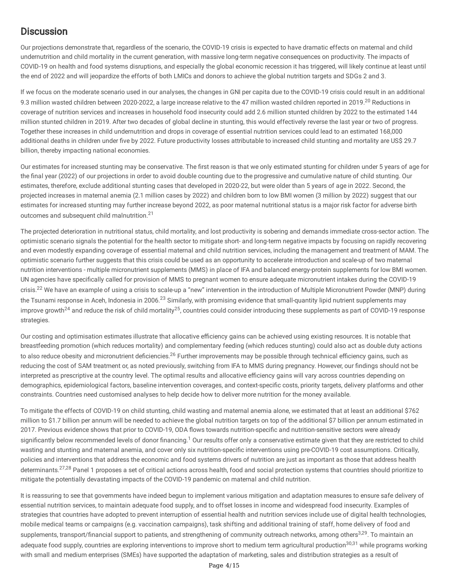## **Discussion**

Our projections demonstrate that, regardless of the scenario, the COVID-19 crisis is expected to have dramatic effects on maternal and child undernutrition and child mortality in the current generation, with massive long-term negative consequences on productivity. The impacts of COVID-19 on health and food systems disruptions, and especially the global economic recession it has triggered, will likely continue at least until the end of 2022 and will jeopardize the efforts of both LMICs and donors to achieve the global nutrition targets and SDGs 2 and 3.

If we focus on the moderate scenario used in our analyses, the changes in GNI per capita due to the COVID-19 crisis could result in an additional 9.3 million wasted children between 2020-2022, a large increase relative to the 47 million wasted children reported in 2019.<sup>20</sup> Reductions in coverage of nutrition services and increases in household food insecurity could add 2.6 million stunted children by 2022 to the estimated 144 million stunted children in 2019. After two decades of global decline in stunting, this would effectively reverse the last year or two of progress. Together these increases in child undernutrition and drops in coverage of essential nutrition services could lead to an estimated 168,000 additional deaths in children under five by 2022. Future productivity losses attributable to increased child stunting and mortality are US\$ 29.7 billion, thereby impacting national economies.

Our estimates for increased stunting may be conservative. The first reason is that we only estimated stunting for children under 5 years of age for the final year (2022) of our projections in order to avoid double counting due to the progressive and cumulative nature of child stunting. Our estimates, therefore, exclude additional stunting cases that developed in 2020-22, but were older than 5 years of age in 2022. Second, the projected increases in maternal anemia (2.1 million cases by 2022) and children born to low BMI women (3 million by 2022) suggest that our estimates for increased stunting may further increase beyond 2022, as poor maternal nutritional status is a major risk factor for adverse birth outcomes and subsequent child malnutrition.<sup>21</sup>

The projected deterioration in nutritional status, child mortality, and lost productivity is sobering and demands immediate cross-sector action. The optimistic scenario signals the potential for the health sector to mitigate short- and long-term negative impacts by focusing on rapidly recovering and even modestly expanding coverage of essential maternal and child nutrition services, including the management and treatment of MAM. The optimistic scenario further suggests that this crisis could be used as an opportunity to accelerate introduction and scale-up of two maternal nutrition interventions - multiple micronutrient supplements (MMS) in place of IFA and balanced energy-protein supplements for low BMI women. UN agencies have specifically called for provision of MMS to pregnant women to ensure adequate micronutrient intakes during the COVID-19 crisis.<sup>22</sup> We have an example of using a crisis to scale-up a "new" intervention in the introduction of Multiple Micronutrient Powder (MNP) during the Tsunami response in Aceh, Indonesia in 2006.<sup>23</sup> Similarly, with promising evidence that small-quantity lipid nutrient supplements may improve growth<sup>24</sup> and reduce the risk of child mortality<sup>25</sup>, countries could consider introducing these supplements as part of COVID-19 response strategies.

Our costing and optimisation estimates illustrate that allocative efficiency gains can be achieved using existing resources. It is notable that breastfeeding promotion (which reduces mortality) and complementary feeding (which reduces stunting) could also act as double duty actions to also reduce obesity and micronutrient deficiencies.<sup>26</sup> Further improvements may be possible through technical efficiency gains, such as reducing the cost of SAM treatment or, as noted previously, switching from IFA to MMS during pregnancy. However, our findings should not be interpreted as prescriptive at the country level. The optimal results and allocative efficiency gains will vary across countries depending on demographics, epidemiological factors, baseline intervention coverages, and context-specific costs, priority targets, delivery platforms and other constraints. Countries need customised analyses to help decide how to deliver more nutrition for the money available.

To mitigate the effects of COVID-19 on child stunting, child wasting and maternal anemia alone, we estimated that at least an additional \$762 million to \$1.7 billion per annum will be needed to achieve the global nutrition targets on top of the additional \$7 billion per annum estimated in 2017. Previous evidence shows that prior to COVID-19, ODA flows towards nutrition-specific and nutrition-sensitive sectors were already significantly below recommended levels of donor financing.<sup>1</sup> Our results offer only a conservative estimate given that they are restricted to child wasting and stunting and maternal anemia, and cover only six nutrition-specific interventions using pre-COVID-19 cost assumptions. Critically, policies and interventions that address the economic and food systems drivers of nutrition are just as important as those that address health determinants.<sup>27,28</sup> Panel 1 proposes a set of critical actions across health, food and social protection systems that countries should prioritize to mitigate the potentially devastating impacts of the COVID-19 pandemic on maternal and child nutrition.

It is reassuring to see that governments have indeed begun to implement various mitigation and adaptation measures to ensure safe delivery of essential nutrition services, to maintain adequate food supply, and to offset losses in income and widespread food insecurity. Examples of strategies that countries have adopted to prevent interruption of essential health and nutrition services include use of digital health technologies, mobile medical teams or campaigns (e.g. vaccination campaigns), task shifting and additional training of staff, home delivery of food and supplements, transport/financial support to patients, and strengthening of community outreach networks, among others<sup>3,29</sup>. To maintain an adequate food supply, countries are exploring interventions to improve short to medium term agricultural production<sup>30,31</sup> while programs working with small and medium enterprises (SMEs) have supported the adaptation of marketing, sales and distribution strategies as a result of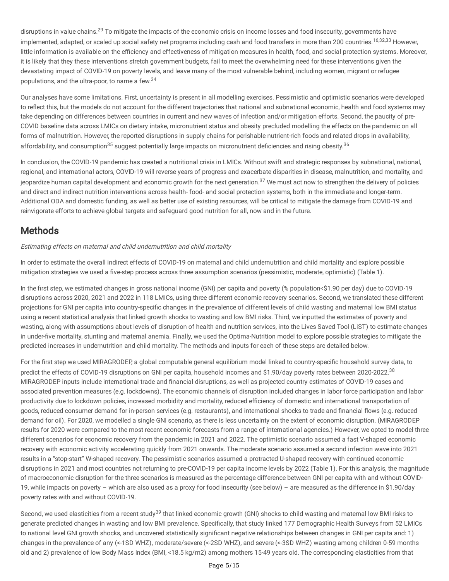disruptions in value chains.<sup>29</sup> To mitigate the impacts of the economic crisis on income losses and food insecurity, governments have implemented, adapted, or scaled up social safety net programs including cash and food transfers in more than 200 countries.<sup>16,32,33</sup> However, little information is available on the efficiency and effectiveness of mitigation measures in health, food, and social protection systems. Moreover, it is likely that they these interventions stretch government budgets, fail to meet the overwhelming need for these interventions given the devastating impact of COVID-19 on poverty levels, and leave many of the most vulnerable behind, including women, migrant or refugee populations, and the ultra-poor, to name a few.<sup>34</sup>

Our analyses have some limitations. First, uncertainty is present in all modelling exercises. Pessimistic and optimistic scenarios were developed to reflect this, but the models do not account for the different trajectories that national and subnational economic, health and food systems may take depending on differences between countries in current and new waves of infection and/or mitigation efforts. Second, the paucity of pre-COVID baseline data across LMICs on dietary intake, micronutrient status and obesity precluded modelling the effects on the pandemic on all forms of malnutrition. However, the reported disruptions in supply chains for perishable nutrient-rich foods and related drops in availability, affordability, and consumption<sup>35</sup> suggest potentially large impacts on micronutrient deficiencies and rising obesity.<sup>36</sup>

In conclusion, the COVID-19 pandemic has created a nutritional crisis in LMICs. Without swift and strategic responses by subnational, national, regional, and international actors, COVID-19 will reverse years of progress and exacerbate disparities in disease, malnutrition, and mortality, and jeopardize human capital development and economic growth for the next generation.<sup>37</sup> We must act now to strengthen the delivery of policies and direct and indirect nutrition interventions across health- food- and social protection systems, both in the immediate and longer-term. Additional ODA and domestic funding, as well as better use of existing resources, will be critical to mitigate the damage from COVID-19 and reinvigorate efforts to achieve global targets and safeguard good nutrition for all, now and in the future.

## **Methods**

### Estimating effects on maternal and child undernutrition and child mortality

In order to estimate the overall indirect effects of COVID-19 on maternal and child undernutrition and child mortality and explore possible mitigation strategies we used a five-step process across three assumption scenarios (pessimistic, moderate, optimistic) (Table 1).

In the first step, we estimated changes in gross national income (GNI) per capita and poverty (% population<\$1.90 per day) due to COVID-19 disruptions across 2020, 2021 and 2022 in 118 LMICs, using three different economic recovery scenarios. Second, we translated these different projections for GNI per capita into country-specific changes in the prevalence of different levels of child wasting and maternal low BMI status using a recent statistical analysis that linked growth shocks to wasting and low BMI risks. Third, we inputted the estimates of poverty and wasting, along with assumptions about levels of disruption of health and nutrition services, into the Lives Saved Tool (LiST) to estimate changes in under-five mortality, stunting and maternal anemia. Finally, we used the Optima-Nutrition model to explore possible strategies to mitigate the predicted increases in undernutrition and child mortality. The methods and inputs for each of these steps are detailed below.

For the first step we used MIRAGRODEP, a global computable general equilibrium model linked to country-specific household survey data, to predict the effects of COVID-19 disruptions on GNI per capita, household incomes and \$1.90/day poverty rates between 2020-2022.<sup>38</sup> MIRAGRODEP inputs include international trade and financial disruptions, as well as projected country estimates of COVID-19 cases and associated prevention measures (e.g. lockdowns). The economic channels of disruption included changes in labor force participation and labor productivity due to lockdown policies, increased morbidity and mortality, reduced efficiency of domestic and international transportation of goods, reduced consumer demand for in-person services (e.g. restaurants), and international shocks to trade and financial flows (e.g. reduced demand for oil). For 2020, we modelled a single GNI scenario, as there is less uncertainty on the extent of economic disruption. (MIRAGRODEP results for 2020 were compared to the most recent economic forecasts from a range of international agencies.) However, we opted to model three different scenarios for economic recovery from the pandemic in 2021 and 2022. The optimistic scenario assumed a fast V-shaped economic recovery with economic activity accelerating quickly from 2021 onwards. The moderate scenario assumed a second infection wave into 2021 results in a "stop-start" W-shaped recovery. The pessimistic scenarios assumed a protracted U-shaped recovery with continued economic disruptions in 2021 and most countries not returning to pre-COVID-19 per capita income levels by 2022 (Table 1). For this analysis, the magnitude of macroeconomic disruption for the three scenarios is measured as the percentage difference between GNI per capita with and without COVID-19, while impacts on poverty – which are also used as a proxy for food insecurity (see below) – are measured as the difference in \$1.90/day poverty rates with and without COVID-19.

Second, we used elasticities from a recent study<sup>39</sup> that linked economic growth (GNI) shocks to child wasting and maternal low BMI risks to generate predicted changes in wasting and low BMI prevalence. Specifically, that study linked 177 Demographic Health Surveys from 52 LMICs to national level GNI growth shocks, and uncovered statistically significant negative relationships between changes in GNI per capita and: 1) changes in the prevalence of any (<-1SD WHZ), moderate/severe (<-2SD WHZ), and severe (<-3SD WHZ) wasting among children 0-59 months old and 2) prevalence of low Body Mass Index (BMI, <18.5 kg/m2) among mothers 15-49 years old. The corresponding elasticities from that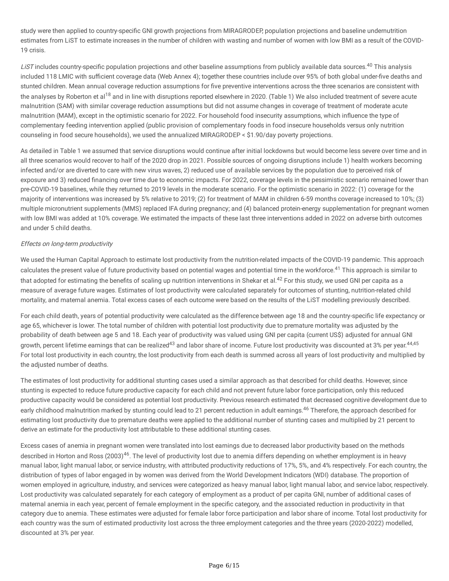study were then applied to country-specific GNI growth projections from MIRAGRODEP, population projections and baseline undernutrition estimates from LiST to estimate increases in the number of children with wasting and number of women with low BMI as a result of the COVID-19 crisis.

LiST includes country-specific population projections and other baseline assumptions from publicly available data sources.<sup>40</sup> This analysis included 118 LMIC with sufficient coverage data (Web Annex 4); together these countries include over 95% of both global under-five deaths and stunted children. Mean annual coverage reduction assumptions for five preventive interventions across the three scenarios are consistent with the analyses by Roberton et al<sup>18</sup> and in line with disruptions reported elsewhere in 2020. (Table 1) We also included treatment of severe acute malnutrition (SAM) with similar coverage reduction assumptions but did not assume changes in coverage of treatment of moderate acute malnutrition (MAM), except in the optimistic scenario for 2022. For household food insecurity assumptions, which influence the type of complementary feeding intervention applied (public provision of complementary foods in food insecure households versus only nutrition counseling in food secure households), we used the annualized MIRAGRODEP < \$1.90/day poverty projections.

As detailed in Table 1 we assumed that service disruptions would continue after initial lockdowns but would become less severe over time and in all three scenarios would recover to half of the 2020 drop in 2021. Possible sources of ongoing disruptions include 1) health workers becoming infected and/or are diverted to care with new virus waves, 2) reduced use of available services by the population due to perceived risk of exposure and 3) reduced financing over time due to economic impacts. For 2022, coverage levels in the pessimistic scenario remained lower than pre-COVID-19 baselines, while they returned to 2019 levels in the moderate scenario. For the optimistic scenario in 2022: (1) coverage for the majority of interventions was increased by 5% relative to 2019; (2) for treatment of MAM in children 6-59 months coverage increased to 10%; (3) multiple micronutrient supplements (MMS) replaced IFA during pregnancy; and (4) balanced protein-energy supplementation for pregnant women with low BMI was added at 10% coverage. We estimated the impacts of these last three interventions added in 2022 on adverse birth outcomes and under 5 child deaths.

### Effects on long-term productivity

We used the Human Capital Approach to estimate lost productivity from the nutrition-related impacts of the COVID-19 pandemic. This approach calculates the present value of future productivity based on potential wages and potential time in the workforce.<sup>41</sup> This approach is similar to that adopted for estimating the benefits of scaling up nutrition interventions in Shekar et al.<sup>42</sup> For this study, we used GNI per capita as a measure of average future wages. Estimates of lost productivity were calculated separately for outcomes of stunting, nutrition-related child mortality, and maternal anemia. Total excess cases of each outcome were based on the results of the LiST modelling previously described.

For each child death, years of potential productivity were calculated as the difference between age 18 and the country-specific life expectancy or age 65, whichever is lower. The total number of children with potential lost productivity due to premature mortality was adjusted by the probability of death between age 5 and 18. Each year of productivity was valued using GNI per capita (current US\$) adjusted for annual GNI growth, percent lifetime earnings that can be realized<sup>43</sup> and labor share of income. Future lost productivity was discounted at 3% per year.<sup>44,45</sup> For total lost productivity in each country, the lost productivity from each death is summed across all years of lost productivity and multiplied by the adjusted number of deaths.

The estimates of lost productivity for additional stunting cases used a similar approach as that described for child deaths. However, since stunting is expected to reduce future productive capacity for each child and not prevent future labor force participation, only this reduced productive capacity would be considered as potential lost productivity. Previous research estimated that decreased cognitive development due to early childhood malnutrition marked by stunting could lead to 21 percent reduction in adult earnings.<sup>46</sup> Therefore, the approach described for estimating lost productivity due to premature deaths were applied to the additional number of stunting cases and multiplied by 21 percent to derive an estimate for the productivity lost attributable to these additional stunting cases.

Excess cases of anemia in pregnant women were translated into lost earnings due to decreased labor productivity based on the methods described in Horton and Ross (2003)<sup>46</sup>. The level of productivity lost due to anemia differs depending on whether employment is in heavy manual labor, light manual labor, or service industry, with attributed productivity reductions of 17%, 5%, and 4% respectively. For each country, the distribution of types of labor engaged in by women was derived from the World Development Indicators (WDI) database. The proportion of women employed in agriculture, industry, and services were categorized as heavy manual labor, light manual labor, and service labor, respectively. Lost productivity was calculated separately for each category of employment as a product of per capita GNI, number of additional cases of maternal anemia in each year, percent of female employment in the specific category, and the associated reduction in productivity in that category due to anemia. These estimates were adjusted for female labor force participation and labor share of income. Total lost productivity for each country was the sum of estimated productivity lost across the three employment categories and the three years (2020-2022) modelled, discounted at 3% per year.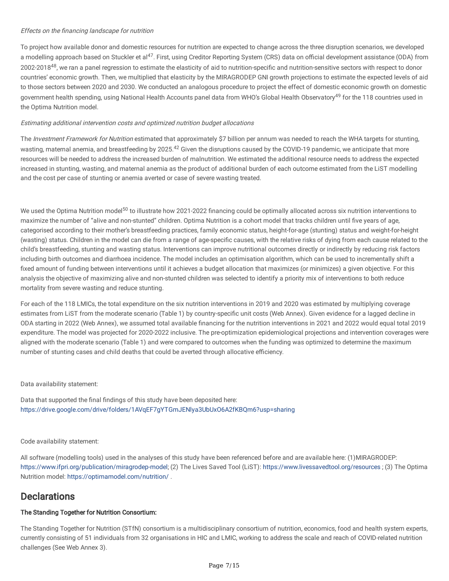### Effects on the financing landscape for nutrition

To project how available donor and domestic resources for nutrition are expected to change across the three disruption scenarios, we developed a modelling approach based on Stuckler et al<sup>47</sup>. First, using Creditor Reporting System (CRS) data on official development assistance (ODA) from 2002-2018<sup>48</sup>, we ran a panel regression to estimate the elasticity of aid to nutrition-specific and nutrition-sensitive sectors with respect to donor countries' economic growth. Then, we multiplied that elasticity by the MIRAGRODEP GNI growth projections to estimate the expected levels of aid to those sectors between 2020 and 2030. We conducted an analogous procedure to project the effect of domestic economic growth on domestic government health spending, using National Health Accounts panel data from WHO's Global Health Observatory<sup>49</sup> for the 118 countries used in the Optima Nutrition model.

## Estimating additional intervention costs and optimized nutrition budget allocations

The Investment Framework for Nutrition estimated that approximately \$7 billion per annum was needed to reach the WHA targets for stunting, wasting, maternal anemia, and breastfeeding by 2025.<sup>42</sup> Given the disruptions caused by the COVID-19 pandemic, we anticipate that more resources will be needed to address the increased burden of malnutrition. We estimated the additional resource needs to address the expected increased in stunting, wasting, and maternal anemia as the product of additional burden of each outcome estimated from the LiST modelling and the cost per case of stunting or anemia averted or case of severe wasting treated.

We used the Optima Nutrition model<sup>50</sup> to illustrate how 2021-2022 financing could be optimally allocated across six nutrition interventions to maximize the number of "alive and non-stunted" children. Optima Nutrition is a cohort model that tracks children until five years of age, categorised according to their mother's breastfeeding practices, family economic status, height-for-age (stunting) status and weight-for-height (wasting) status. Children in the model can die from a range of age-specific causes, with the relative risks of dying from each cause related to the child's breastfeeding, stunting and wasting status. Interventions can improve nutritional outcomes directly or indirectly by reducing risk factors including birth outcomes and diarrhoea incidence. The model includes an optimisation algorithm, which can be used to incrementally shift a fixed amount of funding between interventions until it achieves a budget allocation that maximizes (or minimizes) a given objective. For this analysis the objective of maximizing alive and non-stunted children was selected to identify a priority mix of interventions to both reduce mortality from severe wasting and reduce stunting.

For each of the 118 LMICs, the total expenditure on the six nutrition interventions in 2019 and 2020 was estimated by multiplying coverage estimates from LiST from the moderate scenario (Table 1) by country-specific unit costs (Web Annex). Given evidence for a lagged decline in ODA starting in 2022 (Web Annex), we assumed total available financing for the nutrition interventions in 2021 and 2022 would equal total 2019 expenditure. The model was projected for 2020-2022 inclusive. The pre-optimization epidemiological projections and intervention coverages were aligned with the moderate scenario (Table 1) and were compared to outcomes when the funding was optimized to determine the maximum number of stunting cases and child deaths that could be averted through allocative efficiency.

### Data availability statement:

Data that supported the final findings of this study have been deposited here: <https://drive.google.com/drive/folders/1AVqEF7gYTGmJENlya3UbUxO6A2fKBQm6?usp=sharing>

### Code availability statement:

All software (modelling tools) used in the analyses of this study have been referenced before and are available here: (1)MIRAGRODEP: [https://www.ifpri.org/publication/miragrodep-model;](https://www.ifpri.org/publication/miragrodep-model) (2) The Lives Saved Tool (LiST): <https://www.livessavedtool.org/resources> ; (3) The Optima Nutrition model: <https://optimamodel.com/nutrition/> .

## **Declarations**

### The Standing Together for Nutrition Consortium:

The Standing Together for Nutrition (STfN) consortium is a multidisciplinary consortium of nutrition, economics, food and health system experts, currently consisting of 51 individuals from 32 organisations in HIC and LMIC, working to address the scale and reach of COVID-related nutrition challenges (See Web Annex 3).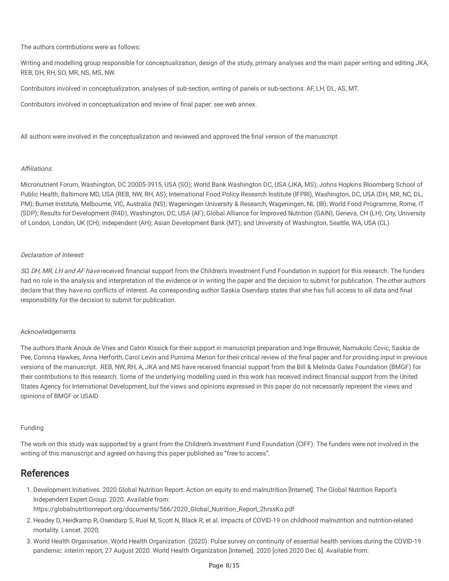The authors contributions were as follows:

Writing and modelling group responsible for conceptualization, design of the study, primary analyses and the main paper writing and editing JKA, REB, DH, RH, SO, MR, NS, MS, NW.

Contributors involved in conceptualization, analyses of sub-section, writing of panels or sub-sections: AF, LH, DL, AS, MT.

Contributors involved in conceptualization and review of final paper: see web annex.

All authors were involved in the conceptualization and reviewed and approved the final version of the manuscript.

#### Affiliations:

Micronutrient Forum, Washington, DC 20005-3915, USA (SO); World Bank Washington DC, USA (JKA, MS); Johns Hopkins Bloomberg School of Public Health, Baltimore MD, USA (REB, NW, RH, AS); International Food Policy Research Institute (IFPRI), Washington, DC, USA (DH, MR, NC, DL, PM); Burnet Institute, Melbourne, VIC, Australia (NS); Wageningen University & Research, Wageningen, NL (IB); World Food Programme, Rome, IT (SDP); Results for Development (R4D), Washington, DC, USA (AF); Global Alliance for Improved Nutrition (GAIN), Geneva, CH (LH); City, University of London, London, UK (CH); independent (AH); Asian Development Bank (MT); and University of Washington, Seattle, WA, USA (CL)

### Declaration of Interest:

SO, DH, MR, LH and AF have received financial support from the Children's Investment Fund Foundation in support for this research. The funders had no role in the analysis and interpretation of the evidence or in writing the paper and the decision to submit for publication. The other authors declare that they have no conflicts of interest. As corresponding author Saskia Osendarp states that she has full access to all data and final responsibility for the decision to submit for publication.

### Acknowledgements

The authors thank Anouk de Vries and Catrin Kissick for their support in manuscript preparation and Inge Brouwer, Namukolo Covic, Saskia de Pee, Corinna Hawkes, Anna Herforth, Carol Levin and Purnima Menon for their critical review of the final paper and for providing input in previous versions of the manuscript. REB, NW, RH, A, JKA and MS have received financial support from the Bill & Melinda Gates Foundation (BMGF) for their contributions to this research. Some of the underlying modelling used in this work has received indirect nancial support from the United States Agency for International Development, but the views and opinions expressed in this paper do not necessarily represent the views and opinions of BMGF or USAID.

#### Funding

The work on this study was supported by a grant from the Children's Investment Fund Foundation (CIFF). The funders were not involved in the writing of this manuscript and agreed on having this paper published as "free to access".

## References

1. Development Initiatives. 2020 Global Nutrition Report: Action on equity to end malnutrition [Internet]. The Global Nutrition Report's Independent Expert Group. 2020. Available from:

https://globalnutritionreport.org/documents/566/2020\_Global\_Nutrition\_Report\_2hrssKo.pdf

- 2. Headey D, Heidkamp R, Osendarp S, Ruel M, Scott N, Black R, et al. Impacts of COVID-19 on childhood malnutrition and nutrition-related mortality. Lancet. 2020;
- 3. World Health Organisation. World Health Organization. (2020). Pulse survey on continuity of essential health services during the COVID-19 pandemic: interim report, 27 August 2020. World Health Organization [Internet]. 2020 [cited 2020 Dec 6]. Available from: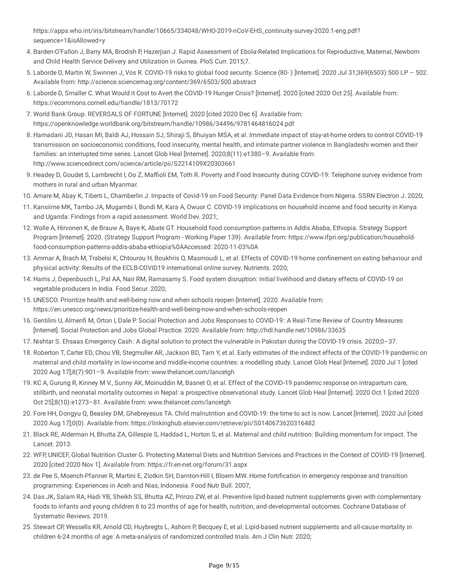https://apps.who.int/iris/bitstream/handle/10665/334048/WHO-2019-nCoV-EHS\_continuity-survey-2020.1-eng.pdf? sequence=1&isAllowed=y

- 4. Barden-O'Fallon J, Barry MA, Brodish P, Hazerjian J. Rapid Assessment of Ebola-Related Implications for Reproductive, Maternal, Newborn and Child Health Service Delivery and Utilization in Guinea. PloS Curr. 2015;7.
- 5. Laborde D, Martin W, Swinnen J, Vos R. COVID-19 risks to global food security. Science (80- ) [Internet]. 2020 Jul 31;369(6503):500 LP 502. Available from: http://science.sciencemag.org/content/369/6503/500.abstract
- 6. Laborde D, Smaller C. What Would it Cost to Avert the COVID-19 Hunger Crisis? [Internet]. 2020 [cited 2020 Oct 25]. Available from: https://ecommons.cornell.edu/handle/1813/70172
- 7. World Bank Group. REVERSALS OF FORTUNE [Internet]. 2020 [cited 2020 Dec 6]. Available from: https://openknowledge.worldbank.org/bitstream/handle/10986/34496/9781464816024.pdf
- 8. Hamadani JD, Hasan MI, Baldi AJ, Hossain SJ, Shiraji S, Bhuiyan MSA, et al. Immediate impact of stay-at-home orders to control COVID-19 transmission on socioeconomic conditions, food insecurity, mental health, and intimate partner violence in Bangladeshi women and their families: an interrupted time series. Lancet Glob Heal [Internet]. 2020;8(11):e1380–9. Available from: http://www.sciencedirect.com/science/article/pii/S2214109X20303661
- 9. Headey D, Goudet S, Lambrecht I, Oo Z, Maffioli EM, Toth R. Poverty and Food Insecurity during COVID-19: Telephone survey evidence from mothers in rural and urban Myanmar.
- 10. Amare M, Abay K, Tiberti L, Chamberlin J. Impacts of Covid-19 on Food Security: Panel Data Evidence from Nigeria. SSRN Electron J. 2020;
- 11. Kansiime MK, Tambo JA, Mugambi I, Bundi M, Kara A, Owuor C. COVID-19 implications on household income and food security in Kenya and Uganda: Findings from a rapid assessment. World Dev. 2021;
- 12. Wolle A, Hirvonen K, de Brauw A, Baye K, Abate GT. Household food consumption patterns in Addis Ababa, Ethiopia. Strategy Support Program [Internet]. 2020. (Strategy Support Program -Working Paper 139). Available from: https://www.ifpri.org/publication/householdfood-consumption-patterns-addis-ababa-ethiopia%0AAccessed: 2020-11-03%0A
- 13. Ammar A, Brach M, Trabelsi K, Chtourou H, Boukhris O, Masmoudi L, et al. Effects of COVID-19 home confinement on eating behaviour and physical activity: Results of the ECLB-COVID19 international online survey. Nutrients. 2020;
- 14. Harris J, Depenbusch L, Pal AA, Nair RM, Ramasamy S. Food system disruption: initial livelihood and dietary effects of COVID-19 on vegetable producers in India. Food Secur. 2020;
- 15. UNESCO. Prioritize health and well-being now and when schools reopen [Internet]. 2020. Available from: https://en.unesco.org/news/prioritize-health-and-well-being-now-and-when-schools-reopen
- 16. Gentilini U, Almenfi M, Orton I, Dale P. Social Protection and Jobs Responses to COVID-19: A Real-Time Review of Country Measures [Internet]. Social Protection and Jobs Global Practice. 2020. Available from: http://hdl.handle.net/10986/33635
- 17. Nishtar S. Ehsaas Emergency Cash : A digital solution to protect the vulnerable in Pakistan during the COVID-19 crisis. 2020;0–37.
- 18. Roberton T, Carter ED, Chou VB, Stegmuller AR, Jackson BD, Tam Y, et al. Early estimates of the indirect effects of the COVID-19 pandemic on maternal and child mortality in low-income and middle-income countries: a modelling study. Lancet Glob Heal [Internet]. 2020 Jul 1 [cited 2020 Aug 17];8(7):901–9. Available from: www.thelancet.com/lancetgh
- 19. KC A, Gurung R, Kinney M V., Sunny AK, Moinuddin M, Basnet O, et al. Effect of the COVID-19 pandemic response on intrapartum care, stillbirth, and neonatal mortality outcomes in Nepal: a prospective observational study. Lancet Glob Heal [Internet]. 2020 Oct 1 [cited 2020 Oct 25];8(10):e1273–81. Available from: www.thelancet.com/lancetgh
- 20. Fore HH, Dongyu Q, Beasley DM, Ghebreyesus TA. Child malnutrition and COVID-19: the time to act is now. Lancet [Internet]. 2020 Jul [cited 2020 Aug 17];0(0). Available from: https://linkinghub.elsevier.com/retrieve/pii/S0140673620316482
- 21. Black RE, Alderman H, Bhutta ZA, Gillespie S, Haddad L, Horton S, et al. Maternal and child nutrition: Building momentum for impact. The Lancet. 2013.
- 22. WFP, UNICEF, Global Nutrition Cluster G. Protecting Maternal Diets and Nutrition Services and Practices in the Context of COVID-19 [Internet]. 2020 [cited 2020 Nov 1]. Available from: https://fr.en-net.org/forum/31.aspx
- 23. de Pee S, Moench-Pfanner R, Martini E, Zlotkin SH, Darnton-Hill I, Bloem MW. Home fortification in emergency response and transition programming: Experiences in Aceh and Nias, Indonesia. Food Nutr Bull. 2007;
- 24. Das JK, Salam RA, Hadi YB, Sheikh SS, Bhutta AZ, Prinzo ZW, et al. Preventive lipid-based nutrient supplements given with complementary foods to infants and young children 6 to 23 months of age for health, nutrition, and developmental outcomes. Cochrane Database of Systematic Reviews. 2019.
- 25. Stewart CP, Wessells KR, Arnold CD, Huybregts L, Ashorn P, Becquey E, et al. Lipid-based nutrient supplements and all-cause mortality in children 6-24 months of age: A meta-analysis of randomized controlled trials. Am J Clin Nutr. 2020;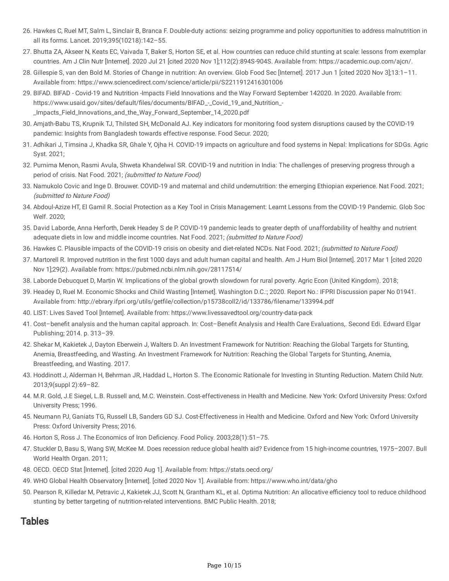- 26. Hawkes C, Ruel MT, Salm L, Sinclair B, Branca F. Double-duty actions: seizing programme and policy opportunities to address malnutrition in all its forms. Lancet. 2019;395(10218):142–55.
- 27. Bhutta ZA, Akseer N, Keats EC, Vaivada T, Baker S, Horton SE, et al. How countries can reduce child stunting at scale: lessons from exemplar countries. Am J Clin Nutr [Internet]. 2020 Jul 21 [cited 2020 Nov 1];112(2):894S-904S. Available from: https://academic.oup.com/ajcn/.
- 28. Gillespie S, van den Bold M. Stories of Change in nutrition: An overview. Glob Food Sec [Internet]. 2017 Jun 1 [cited 2020 Nov 3];13:1–11. Available from: https://www.sciencedirect.com/science/article/pii/S2211912416301006
- 29. BIFAD. BIFAD Covid-19 and Nutrition -Impacts Field Innovations and the Way Forward September 142020. In 2020. Available from: https://www.usaid.gov/sites/default/files/documents/BIFAD\_-\_Covid\_19\_and\_Nutrition\_-\_Impacts\_Field\_Innovations\_and\_the\_Way\_Forward\_September\_14\_2020.pdf
- 30. Amjath-Babu TS, Krupnik TJ, Thilsted SH, McDonald AJ. Key indicators for monitoring food system disruptions caused by the COVID-19 pandemic: Insights from Bangladesh towards effective response. Food Secur. 2020;
- 31. Adhikari J, Timsina J, Khadka SR, Ghale Y, Ojha H. COVID-19 impacts on agriculture and food systems in Nepal: Implications for SDGs. Agric Syst. 2021;
- 32. Purnima Menon, Rasmi Avula, Shweta Khandelwal SR. COVID-19 and nutrition in India: The challenges of preserving progress through a period of crisis. Nat Food. 2021; (submitted to Nature Food)
- 33. Namukolo Covic and Inge D. Brouwer. COVID-19 and maternal and child undernutrition: the emerging Ethiopian experience. Nat Food. 2021; (submitted to Nature Food)
- 34. Abdoul-Azize HT, El Gamil R. Social Protection as a Key Tool in Crisis Management: Learnt Lessons from the COVID-19 Pandemic. Glob Soc Welf. 2020;
- 35. David Laborde, Anna Herforth, Derek Headey S de P. COVID-19 pandemic leads to greater depth of unaffordability of healthy and nutrient adequate diets in low and middle income countries. Nat Food. 2021; (submitted to Nature Food)
- 36. Hawkes C. Plausible impacts of the COVID-19 crisis on obesity and diet-related NCDs. Nat Food. 2021; (submitted to Nature Food)
- 37. Martorell R. Improved nutrition in the first 1000 days and adult human capital and health. Am J Hum Biol [Internet]. 2017 Mar 1 [cited 2020 Nov 1];29(2). Available from: https://pubmed.ncbi.nlm.nih.gov/28117514/
- 38. Laborde Debucquet D, Martin W. Implications of the global growth slowdown for rural poverty. Agric Econ (United Kingdom). 2018;
- 39. Headey D, Ruel M. Economic Shocks and Child Wasting [Internet]. Washington D.C.:; 2020. Report No.: IFPRI Discussion paper No 01941. Available from: http://ebrary.ifpri.org/utils/getfile/collection/p15738coll2/id/133786/filename/133994.pdf
- 40. LIST: Lives Saved Tool [Internet]. Available from: https://www.livessavedtool.org/country-data-pack
- 41. Cost-benefit analysis and the human capital approach. In: Cost-Benefit Analysis and Health Care Evaluations,. Second Edi. Edward Elgar Publishing; 2014. p. 313–39.
- 42. Shekar M, Kakietek J, Dayton Eberwein J, Walters D. An Investment Framework for Nutrition: Reaching the Global Targets for Stunting, Anemia, Breastfeeding, and Wasting. An Investment Framework for Nutrition: Reaching the Global Targets for Stunting, Anemia, Breastfeeding, and Wasting. 2017.
- 43. Hoddinott J, Alderman H, Behrman JR, Haddad L, Horton S. The Economic Rationale for Investing in Stunting Reduction. Matern Child Nutr. 2013;9(suppl 2):69–82.
- 44. M.R. Gold, J.E Siegel, L.B. Russell and, M.C. Weinstein. Cost‐effectiveness in Health and Medicine. New York: Oxford University Press: Oxford University Press; 1996.
- 45. Neumann PJ, Ganiats TG, Russell LB, Sanders GD SJ. Cost-Effectiveness in Health and Medicine. Oxford and New York: Oxford University Press: Oxford University Press; 2016.
- 46. Horton S, Ross J. The Economics of Iron Deficiency. Food Policy. 2003;28(1):51-75.
- 47. Stuckler D, Basu S, Wang SW, McKee M. Does recession reduce global health aid? Evidence from 15 high-income countries, 1975–2007. Bull World Health Organ. 2011;
- 48. OECD. OECD Stat [Internet]. [cited 2020 Aug 1]. Available from: https://stats.oecd.org/
- 49. WHO Global Health Observatory [Internet]. [cited 2020 Nov 1]. Available from: https://www.who.int/data/gho
- 50. Pearson R, Killedar M, Petravic J, Kakietek JJ, Scott N, Grantham KL, et al. Optima Nutrition: An allocative efficiency tool to reduce childhood stunting by better targeting of nutrition-related interventions. BMC Public Health. 2018;

## Tables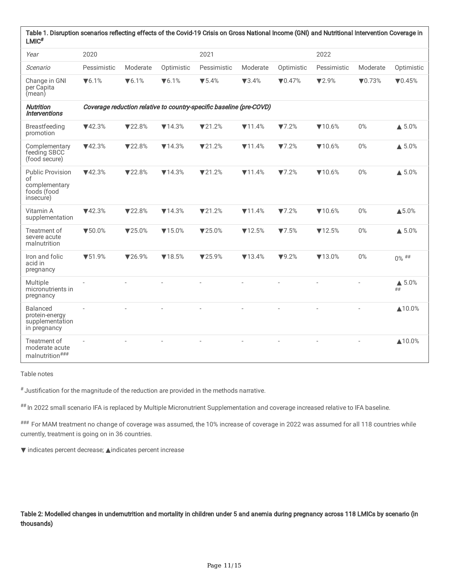| Table 1. Disruption scenarios reflecting effects of the Covid-19 Crisis on Gross National Income (GNI) and Nutritional Intervention Coverage in<br>$LMIC$ <sup>#</sup> |                                                                     |                |                |                           |                |                 |                |                 |                        |  |  |
|------------------------------------------------------------------------------------------------------------------------------------------------------------------------|---------------------------------------------------------------------|----------------|----------------|---------------------------|----------------|-----------------|----------------|-----------------|------------------------|--|--|
| Year                                                                                                                                                                   | 2020                                                                |                |                | 2021                      |                |                 | 2022           |                 |                        |  |  |
| Scenario                                                                                                                                                               | Pessimistic                                                         | Moderate       | Optimistic     | Pessimistic               | Moderate       | Optimistic      | Pessimistic    | Moderate        | Optimistic             |  |  |
| Change in GNI<br>per Capita<br>(mean)                                                                                                                                  | $\nabla 6.1\%$                                                      | $\nabla 6.1\%$ | $\nabla 6.1\%$ | $\blacktriangledown$ 5.4% | $\nabla 3.4\%$ | $\nabla 0.47\%$ | $\nabla 2.9\%$ | $\nabla 0.73\%$ | $\nabla 0.45%$         |  |  |
| <b>Nutrition</b><br><i><b>Interventions</b></i>                                                                                                                        | Coverage reduction relative to country-specific baseline (pre-COVD) |                |                |                           |                |                 |                |                 |                        |  |  |
| <b>Breastfeeding</b><br>promotion                                                                                                                                      | $\P$ 42.3%                                                          | $\nabla$ 22.8% | $\P$ 14.3%     | $\nabla$ 21.2%            | $\P$ 11.4%     | $\nabla$ 7.2%   | $\P$ 10.6%     | $0\%$           | $\triangle$ 5.0%       |  |  |
| Complementary<br>feeding SBCC<br>(food secure)                                                                                                                         | $\P$ 42.3%                                                          | $\nabla$ 22.8% | $\P$ 14.3%     | $\nabla$ 21.2%            | $\P$ 11.4%     | $\nabla$ 7.2%   | $\P$ 10.6%     | $0\%$           | $\triangle$ 5.0%       |  |  |
| <b>Public Provision</b><br>of<br>complementary<br>foods (food<br>insecure)                                                                                             | $\P$ 42.3%                                                          | $\nabla$ 22.8% | $\P$ 14.3%     | $\nabla$ 21.2%            | $\P$ 11.4%     | $\nabla$ 7.2%   | $\P$ 10.6%     | 0%              | $\triangle$ 5.0%       |  |  |
| Vitamin A<br>supplementation                                                                                                                                           | $\P$ 42.3%                                                          | $\nabla$ 22.8% | $\P$ 14.3%     | $\nabla$ 21.2%            | $\P$ 11.4%     | $\nabla$ 7.2%   | $\P$ 10.6%     | $0\%$           | ▲5.0%                  |  |  |
| Treatment of<br>severe acute<br>malnutrition                                                                                                                           | $\P$ 50.0%                                                          | ▼25.0%         | $\nabla$ 15.0% | ▼25.0%                    | $\P$ 12.5%     | $\nabla$ 7.5%   | $\P$ 12.5%     | $0\%$           | $\triangle$ 5.0%       |  |  |
| Iron and folic<br>acid in<br>pregnancy                                                                                                                                 | $\P$ 51.9%                                                          | $\P$ 26.9%     | $\P$ 18.5%     | $\nabla$ 25.9%            | $\nabla$ 13.4% | $\P$ 9.2%       | $\P$ 13.0%     | $0\%$           | $0\%$ ##               |  |  |
| Multiple<br>micronutrients in<br>pregnancy                                                                                                                             |                                                                     |                |                |                           |                |                 |                |                 | $\triangle$ 5.0%<br>## |  |  |
| <b>Balanced</b><br>protein-energy<br>supplementation<br>in pregnancy                                                                                                   |                                                                     |                |                |                           |                |                 |                |                 | ▲10.0%                 |  |  |
| Treatment of<br>moderate acute<br>malnutrition###                                                                                                                      | $\overline{\phantom{a}}$                                            |                |                |                           |                |                 |                |                 | ▲10.0%                 |  |  |

Table notes

 $*$  Justification for the magnitude of the reduction are provided in the methods narrative.

## In 2022 small scenario IFA is replaced by Multiple Micronutrient Supplementation and coverage increased relative to IFA baseline.

### For MAM treatment no change of coverage was assumed, the 10% increase of coverage in 2022 was assumed for all 118 countries while currently, treatment is going on in 36 countries.

▼ indicates percent decrease; ▲indicates percent increase

Table 2: Modelled changes in undernutrition and mortality in children under 5 and anemia during pregnancy across 118 LMICs by scenario (in thousands)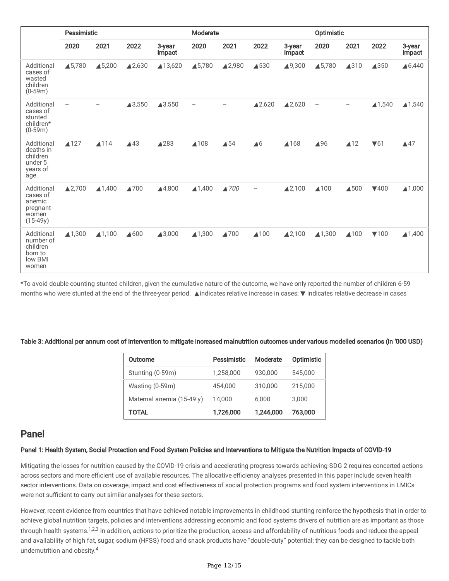|                                                                     | Pessimistic              |                        |                |                  | Moderate                 |                |                   |                        | Optimistic               |                |          |                        |
|---------------------------------------------------------------------|--------------------------|------------------------|----------------|------------------|--------------------------|----------------|-------------------|------------------------|--------------------------|----------------|----------|------------------------|
|                                                                     | 2020                     | 2021                   | 2022           | 3-year<br>impact | 2020                     | 2021           | 2022              | 3-year<br>impact       | 2020                     | 2021           | 2022     | 3-year<br>impact       |
| Additional<br>cases of<br>wasted<br>children<br>$(0-59m)$           | ▲5,780                   | ▲5,200                 | <b>42,630</b>  | ▲13,620          | ▲5,780                   | ▲2,980         | ▲530              | ▲9,300                 | ▲5,780                   | ▲310           | ▲350     | ▲6,440                 |
| Additional<br>cases of<br>stunted<br>children*<br>$(0-59m)$         | $\overline{\phantom{m}}$ |                        | <b>43,550</b>  | ▲3,550           | $\overline{\phantom{a}}$ |                | ▲2,620            | ▲2,620                 | $\overline{\phantom{m}}$ | -              | ▲1,540   | ▲1,540                 |
| Additional<br>deaths in<br>children<br>under 5<br>years of<br>age   | ▲127                     | ▲114                   | $\triangle$ 43 | ▲283             | ▲108                     | $\triangle$ 54 | $\triangle 6$     | ▲168                   | ▲96                      | $\triangle$ 12 | $\P$ 61  | $\triangle$ 47         |
| Additional<br>cases of<br>anemic<br>pregnant<br>women<br>$(15-49y)$ | ▲2,700                   | <b>41,400</b>          | <b>A700</b>    | <b>44,800</b>    | $\blacktriangle$ 1,400   | ▲700           | $\qquad \qquad -$ | $\blacktriangle$ 2,100 | ▲100                     | ▲500           | $\P$ 400 | ▲1,000                 |
| Additional<br>number of<br>children<br>born to<br>low BMI<br>women  | ▲1,300                   | $\blacktriangle$ 1,100 | <b>4600</b>    | ▲3,000           | ▲1,300                   | ▲700           | ▲100              | $\blacktriangle$ 2,100 | ▲1,300                   | ▲100           | $\P$ 100 | $\blacktriangle$ 1,400 |

\*To avoid double counting stunted children, given the cumulative nature of the outcome, we have only reported the number of children 6-59 months who were stunted at the end of the three-year period. ▲indicates relative increase in cases; ▼ indicates relative decrease in cases

Table 3: Additional per annum cost of intervention to mitigate increased malnutrition outcomes under various modelled scenarios (in '000 USD)

| Outcome                   | Pessimistic | Moderate  | Optimistic |
|---------------------------|-------------|-----------|------------|
| Stunting (0-59m)          | 1,258,000   | 930,000   | 545,000    |
| Wasting (0-59m)           | 454,000     | 310,000   | 215,000    |
| Maternal anemia (15-49 y) | 14.000      | 6.000     | 3,000      |
| TOTAL                     | 1,726,000   | 1,246,000 | 763,000    |

## Panel

### Panel 1: Health System, Social Protection and Food System Policies and Interventions to Mitigate the Nutrition Impacts of COVID-19

Mitigating the losses for nutrition caused by the COVID-19 crisis and accelerating progress towards achieving SDG 2 requires concerted actions across sectors and more efficient use of available resources. The allocative efficiency analyses presented in this paper include seven health sector interventions. Data on coverage, impact and cost effectiveness of social protection programs and food system interventions in LMICs were not sufficient to carry out similar analyses for these sectors.

However, recent evidence from countries that have achieved notable improvements in childhood stunting reinforce the hypothesis that in order to achieve global nutrition targets, policies and interventions addressing economic and food systems drivers of nutrition are as important as those through health systems.<sup>1,2,3</sup> In addition, actions to prioritize the production, access and affordability of nutritious foods and reduce the appeal and availability of high fat, sugar, sodium (HFSS) food and snack products have "double-duty" potential; they can be designed to tackle both undernutrition and obesity.<sup>4</sup>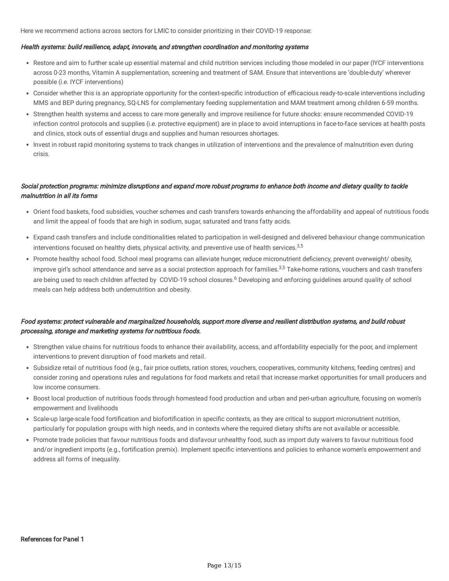Here we recommend actions across sectors for LMIC to consider prioritizing in their COVID-19 response:

#### Health systems: build resilience, adapt, innovate, and strengthen coordination and monitoring systems

- Restore and aim to further scale up essential maternal and child nutrition services including those modeled in our paper (IYCF interventions across 0-23 months, Vitamin A supplementation, screening and treatment of SAM. Ensure that interventions are 'double-duty' wherever possible (i.e. IYCF interventions)
- Consider whether this is an appropriate opportunity for the context-specific introduction of efficacious ready-to-scale interventions including MMS and BEP during pregnancy, SQ-LNS for complementary feeding supplementation and MAM treatment among children 6-59 months.
- Strengthen health systems and access to care more generally and improve resilience for future shocks: ensure recommended COVID-19 infection control protocols and supplies (i.e. protective equipment) are in place to avoid interruptions in face-to-face services at health posts and clinics, stock outs of essential drugs and supplies and human resources shortages.
- Invest in robust rapid monitoring systems to track changes in utilization of interventions and the prevalence of malnutrition even during crisis.

## Social protection programs: minimize disruptions and expand more robust programs to enhance both income and dietary quality to tackle malnutrition in all its forms

- Orient food baskets, food subsidies, voucher schemes and cash transfers towards enhancing the affordability and appeal of nutritious foods and limit the appeal of foods that are high in sodium, sugar, saturated and trans fatty acids.
- Expand cash transfers and include conditionalities related to participation in well-designed and delivered behaviour change communication interventions focused on healthy diets, physical activity, and preventive use of health services.<sup>3,5</sup>
- Promote healthy school food. School meal programs can alleviate hunger, reduce micronutrient deficiency, prevent overweight/ obesity, improve girl's school attendance and serve as a social protection approach for families.<sup>3,5</sup> Take-home rations, vouchers and cash transfers are being used to reach children affected by COVID-19 school closures.<sup>6</sup> Developing and enforcing guidelines around quality of school meals can help address both undernutrition and obesity.

## Food systems: protect vulnerable and marginalized households, support more diverse and resilient distribution systems, and build robust processing, storage and marketing systems for nutritious foods.

- Strengthen value chains for nutritious foods to enhance their availability, access, and affordability especially for the poor, and implement interventions to prevent disruption of food markets and retail.
- Subsidize retail of nutritious food (e.g., fair price outlets, ration stores, vouchers, cooperatives, community kitchens, feeding centres) and consider zoning and operations rules and regulations for food markets and retail that increase market opportunities for small producers and low income consumers.
- Boost local production of nutritious foods through homestead food production and urban and peri-urban agriculture, focusing on women's empowerment and livelihoods
- Scale-up large-scale food fortification and biofortification in specific contexts, as they are critical to support micronutrient nutrition, particularly for population groups with high needs, and in contexts where the required dietary shifts are not available or accessible.
- Promote trade policies that favour nutritious foods and disfavour unhealthy food, such as import duty waivers to favour nutritious food and/or ingredient imports (e.g., fortification premix). Implement specific interventions and policies to enhance women's empowerment and address all forms of inequality.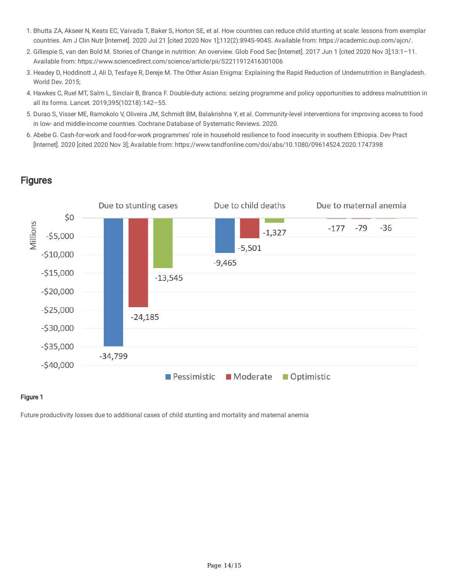- 1. Bhutta ZA, Akseer N, Keats EC, Vaivada T, Baker S, Horton SE, et al. How countries can reduce child stunting at scale: lessons from exemplar countries. Am J Clin Nutr [Internet]. 2020 Jul 21 [cited 2020 Nov 1];112(2):894S-904S. Available from: https://academic.oup.com/ajcn/.
- 2. Gillespie S, van den Bold M. Stories of Change in nutrition: An overview. Glob Food Sec [Internet]. 2017 Jun 1 [cited 2020 Nov 3];13:1–11. Available from: https://www.sciencedirect.com/science/article/pii/S2211912416301006
- 3. Headey D, Hoddinott J, Ali D, Tesfaye R, Dereje M. The Other Asian Enigma: Explaining the Rapid Reduction of Undernutrition in Bangladesh. World Dev. 2015;
- 4. Hawkes C, Ruel MT, Salm L, Sinclair B, Branca F. Double-duty actions: seizing programme and policy opportunities to address malnutrition in all its forms. Lancet. 2019;395(10218):142–55.
- 5. Durao S, Visser ME, Ramokolo V, Oliveira JM, Schmidt BM, Balakrishna Y, et al. Community-level interventions for improving access to food in low- and middle-income countries. Cochrane Database of Systematic Reviews. 2020.
- 6. Abebe G. Cash-for-work and food-for-work programmes' role in household resilience to food insecurity in southern Ethiopia. Dev Pract [Internet]. 2020 [cited 2020 Nov 3]; Available from: https://www.tandfonline.com/doi/abs/10.1080/09614524.2020.1747398

## **Figures**



## Figure 1

Future productivity losses due to additional cases of child stunting and mortality and maternal anemia